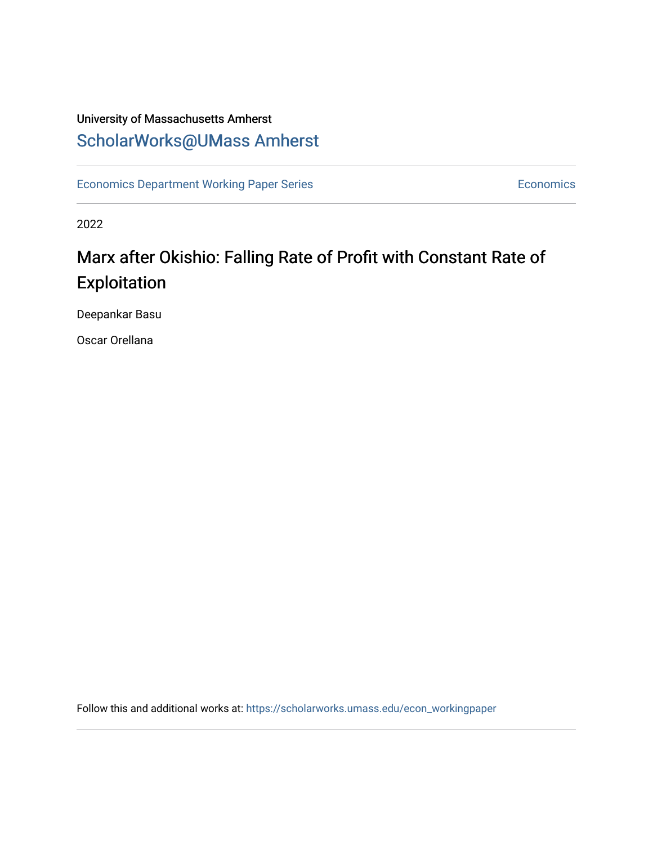# University of Massachusetts Amherst [ScholarWorks@UMass Amherst](https://scholarworks.umass.edu/)

[Economics Department Working Paper Series](https://scholarworks.umass.edu/econ_workingpaper) **Economics** Economics

2022

# Marx after Okishio: Falling Rate of Profit with Constant Rate of Exploitation

Deepankar Basu

Oscar Orellana

Follow this and additional works at: [https://scholarworks.umass.edu/econ\\_workingpaper](https://scholarworks.umass.edu/econ_workingpaper?utm_source=scholarworks.umass.edu%2Fecon_workingpaper%2F329&utm_medium=PDF&utm_campaign=PDFCoverPages)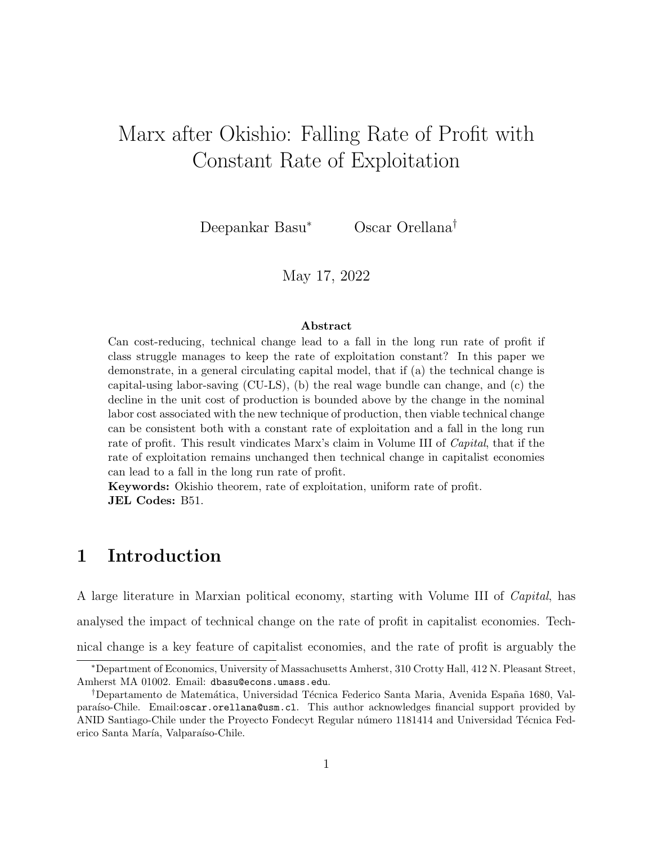# Marx after Okishio: Falling Rate of Profit with Constant Rate of Exploitation

Deepankar Basu<sup>∗</sup> Oscar Orellana†

May 17, 2022

#### Abstract

Can cost-reducing, technical change lead to a fall in the long run rate of profit if class struggle manages to keep the rate of exploitation constant? In this paper we demonstrate, in a general circulating capital model, that if (a) the technical change is capital-using labor-saving (CU-LS), (b) the real wage bundle can change, and (c) the decline in the unit cost of production is bounded above by the change in the nominal labor cost associated with the new technique of production, then viable technical change can be consistent both with a constant rate of exploitation and a fall in the long run rate of profit. This result vindicates Marx's claim in Volume III of *Capital*, that if the rate of exploitation remains unchanged then technical change in capitalist economies can lead to a fall in the long run rate of profit.

Keywords: Okishio theorem, rate of exploitation, uniform rate of profit. JEL Codes: B51.

## 1 Introduction

A large literature in Marxian political economy, starting with Volume III of Capital, has analysed the impact of technical change on the rate of profit in capitalist economies. Technical change is a key feature of capitalist economies, and the rate of profit is arguably the

<sup>∗</sup>Department of Economics, University of Massachusetts Amherst, 310 Crotty Hall, 412 N. Pleasant Street, Amherst MA 01002. Email: dbasu@econs.umass.edu.

<sup>&</sup>lt;sup>†</sup>Departamento de Matemática, Universidad Técnica Federico Santa Maria, Avenida España 1680, Valparaíso-Chile. Email:oscar.orellana@usm.cl. This author acknowledges financial support provided by ANID Santiago-Chile under the Proyecto Fondecyt Regular número 1181414 and Universidad Técnica Federico Santa María, Valparaíso-Chile.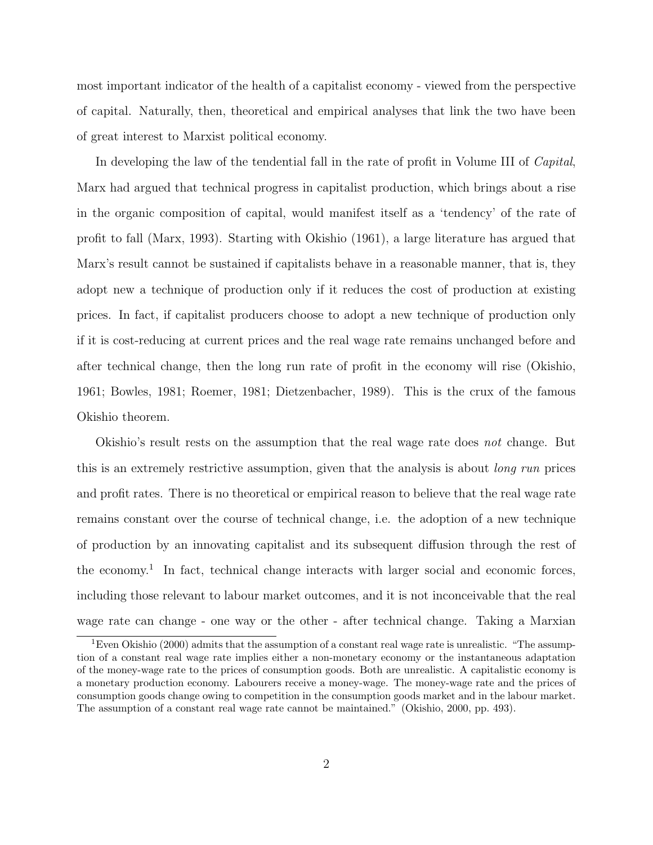most important indicator of the health of a capitalist economy - viewed from the perspective of capital. Naturally, then, theoretical and empirical analyses that link the two have been of great interest to Marxist political economy.

In developing the law of the tendential fall in the rate of profit in Volume III of *Capital*, Marx had argued that technical progress in capitalist production, which brings about a rise in the organic composition of capital, would manifest itself as a 'tendency' of the rate of profit to fall (Marx, 1993). Starting with Okishio (1961), a large literature has argued that Marx's result cannot be sustained if capitalists behave in a reasonable manner, that is, they adopt new a technique of production only if it reduces the cost of production at existing prices. In fact, if capitalist producers choose to adopt a new technique of production only if it is cost-reducing at current prices and the real wage rate remains unchanged before and after technical change, then the long run rate of profit in the economy will rise (Okishio, 1961; Bowles, 1981; Roemer, 1981; Dietzenbacher, 1989). This is the crux of the famous Okishio theorem.

Okishio's result rests on the assumption that the real wage rate does not change. But this is an extremely restrictive assumption, given that the analysis is about *long run* prices and profit rates. There is no theoretical or empirical reason to believe that the real wage rate remains constant over the course of technical change, i.e. the adoption of a new technique of production by an innovating capitalist and its subsequent diffusion through the rest of the economy.<sup>1</sup> In fact, technical change interacts with larger social and economic forces, including those relevant to labour market outcomes, and it is not inconceivable that the real wage rate can change - one way or the other - after technical change. Taking a Marxian

<sup>&</sup>lt;sup>1</sup>Even Okishio (2000) admits that the assumption of a constant real wage rate is unrealistic. "The assumption of a constant real wage rate implies either a non-monetary economy or the instantaneous adaptation of the money-wage rate to the prices of consumption goods. Both are unrealistic. A capitalistic economy is a monetary production economy. Labourers receive a money-wage. The money-wage rate and the prices of consumption goods change owing to competition in the consumption goods market and in the labour market. The assumption of a constant real wage rate cannot be maintained." (Okishio, 2000, pp. 493).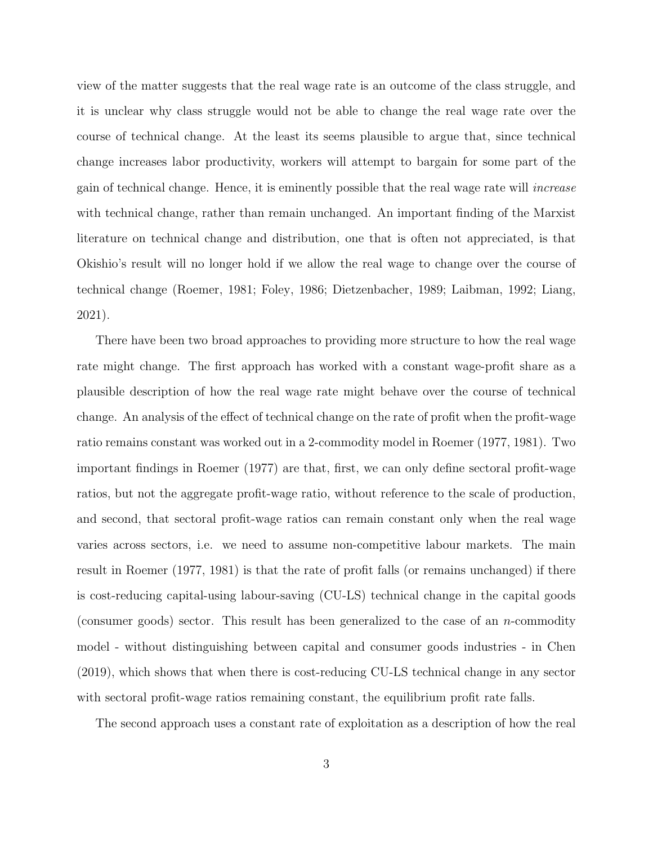view of the matter suggests that the real wage rate is an outcome of the class struggle, and it is unclear why class struggle would not be able to change the real wage rate over the course of technical change. At the least its seems plausible to argue that, since technical change increases labor productivity, workers will attempt to bargain for some part of the gain of technical change. Hence, it is eminently possible that the real wage rate will increase with technical change, rather than remain unchanged. An important finding of the Marxist literature on technical change and distribution, one that is often not appreciated, is that Okishio's result will no longer hold if we allow the real wage to change over the course of technical change (Roemer, 1981; Foley, 1986; Dietzenbacher, 1989; Laibman, 1992; Liang, 2021).

There have been two broad approaches to providing more structure to how the real wage rate might change. The first approach has worked with a constant wage-profit share as a plausible description of how the real wage rate might behave over the course of technical change. An analysis of the effect of technical change on the rate of profit when the profit-wage ratio remains constant was worked out in a 2-commodity model in Roemer (1977, 1981). Two important findings in Roemer (1977) are that, first, we can only define sectoral profit-wage ratios, but not the aggregate profit-wage ratio, without reference to the scale of production, and second, that sectoral profit-wage ratios can remain constant only when the real wage varies across sectors, i.e. we need to assume non-competitive labour markets. The main result in Roemer (1977, 1981) is that the rate of profit falls (or remains unchanged) if there is cost-reducing capital-using labour-saving (CU-LS) technical change in the capital goods (consumer goods) sector. This result has been generalized to the case of an n-commodity model - without distinguishing between capital and consumer goods industries - in Chen (2019), which shows that when there is cost-reducing CU-LS technical change in any sector with sectoral profit-wage ratios remaining constant, the equilibrium profit rate falls.

The second approach uses a constant rate of exploitation as a description of how the real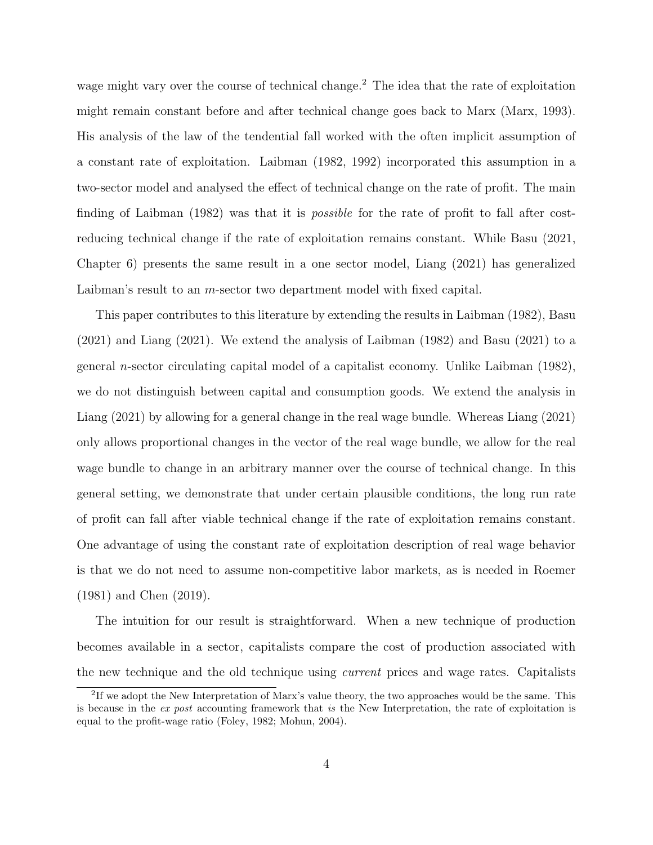wage might vary over the course of technical change.<sup>2</sup> The idea that the rate of exploitation might remain constant before and after technical change goes back to Marx (Marx, 1993). His analysis of the law of the tendential fall worked with the often implicit assumption of a constant rate of exploitation. Laibman (1982, 1992) incorporated this assumption in a two-sector model and analysed the effect of technical change on the rate of profit. The main finding of Laibman (1982) was that it is *possible* for the rate of profit to fall after costreducing technical change if the rate of exploitation remains constant. While Basu (2021, Chapter 6) presents the same result in a one sector model, Liang (2021) has generalized Laibman's result to an m-sector two department model with fixed capital.

This paper contributes to this literature by extending the results in Laibman (1982), Basu (2021) and Liang (2021). We extend the analysis of Laibman (1982) and Basu (2021) to a general *n*-sector circulating capital model of a capitalist economy. Unlike Laibman  $(1982)$ , we do not distinguish between capital and consumption goods. We extend the analysis in Liang (2021) by allowing for a general change in the real wage bundle. Whereas Liang (2021) only allows proportional changes in the vector of the real wage bundle, we allow for the real wage bundle to change in an arbitrary manner over the course of technical change. In this general setting, we demonstrate that under certain plausible conditions, the long run rate of profit can fall after viable technical change if the rate of exploitation remains constant. One advantage of using the constant rate of exploitation description of real wage behavior is that we do not need to assume non-competitive labor markets, as is needed in Roemer (1981) and Chen (2019).

The intuition for our result is straightforward. When a new technique of production becomes available in a sector, capitalists compare the cost of production associated with the new technique and the old technique using current prices and wage rates. Capitalists

<sup>&</sup>lt;sup>2</sup>If we adopt the New Interpretation of Marx's value theory, the two approaches would be the same. This is because in the ex post accounting framework that is the New Interpretation, the rate of exploitation is equal to the profit-wage ratio (Foley, 1982; Mohun, 2004).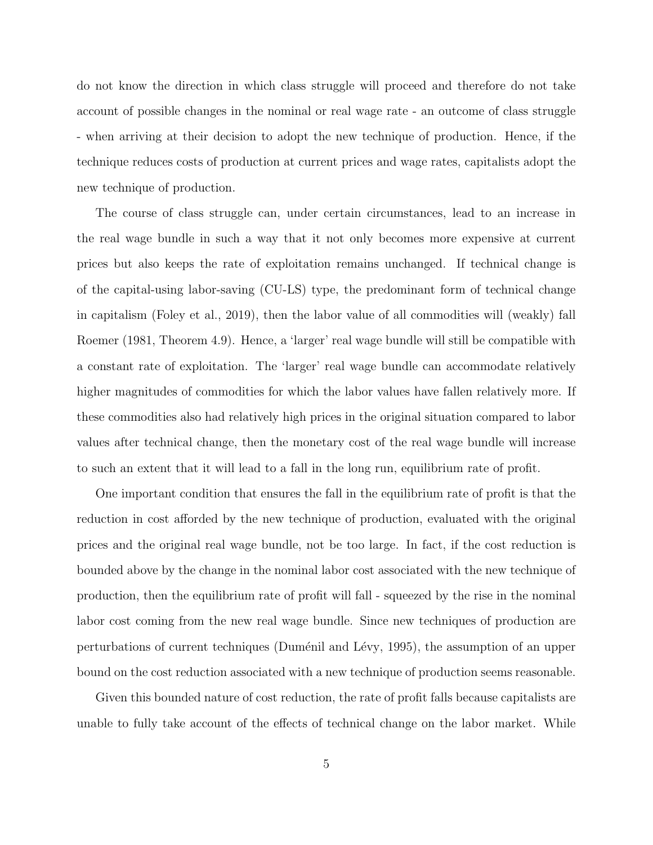do not know the direction in which class struggle will proceed and therefore do not take account of possible changes in the nominal or real wage rate - an outcome of class struggle - when arriving at their decision to adopt the new technique of production. Hence, if the technique reduces costs of production at current prices and wage rates, capitalists adopt the new technique of production.

The course of class struggle can, under certain circumstances, lead to an increase in the real wage bundle in such a way that it not only becomes more expensive at current prices but also keeps the rate of exploitation remains unchanged. If technical change is of the capital-using labor-saving (CU-LS) type, the predominant form of technical change in capitalism (Foley et al., 2019), then the labor value of all commodities will (weakly) fall Roemer (1981, Theorem 4.9). Hence, a 'larger' real wage bundle will still be compatible with a constant rate of exploitation. The 'larger' real wage bundle can accommodate relatively higher magnitudes of commodities for which the labor values have fallen relatively more. If these commodities also had relatively high prices in the original situation compared to labor values after technical change, then the monetary cost of the real wage bundle will increase to such an extent that it will lead to a fall in the long run, equilibrium rate of profit.

One important condition that ensures the fall in the equilibrium rate of profit is that the reduction in cost afforded by the new technique of production, evaluated with the original prices and the original real wage bundle, not be too large. In fact, if the cost reduction is bounded above by the change in the nominal labor cost associated with the new technique of production, then the equilibrium rate of profit will fall - squeezed by the rise in the nominal labor cost coming from the new real wage bundle. Since new techniques of production are perturbations of current techniques (Duménil and Lévy, 1995), the assumption of an upper bound on the cost reduction associated with a new technique of production seems reasonable.

Given this bounded nature of cost reduction, the rate of profit falls because capitalists are unable to fully take account of the effects of technical change on the labor market. While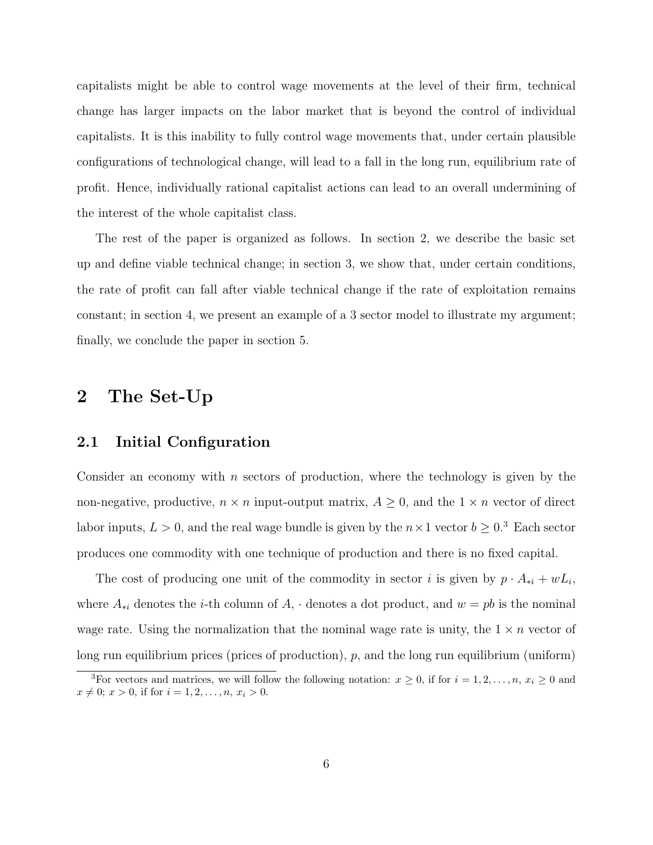capitalists might be able to control wage movements at the level of their firm, technical change has larger impacts on the labor market that is beyond the control of individual capitalists. It is this inability to fully control wage movements that, under certain plausible configurations of technological change, will lead to a fall in the long run, equilibrium rate of profit. Hence, individually rational capitalist actions can lead to an overall undermining of the interest of the whole capitalist class.

The rest of the paper is organized as follows. In section 2, we describe the basic set up and define viable technical change; in section 3, we show that, under certain conditions, the rate of profit can fall after viable technical change if the rate of exploitation remains constant; in section 4, we present an example of a 3 sector model to illustrate my argument; finally, we conclude the paper in section 5.

### 2 The Set-Up

#### 2.1 Initial Configuration

Consider an economy with  $n$  sectors of production, where the technology is given by the non-negative, productive,  $n \times n$  input-output matrix,  $A \geq 0$ , and the  $1 \times n$  vector of direct labor inputs,  $L > 0$ , and the real wage bundle is given by the  $n \times 1$  vector  $b \geq 0.3$  Each sector produces one commodity with one technique of production and there is no fixed capital.

The cost of producing one unit of the commodity in sector i is given by  $p \cdot A_{*i} + wL_i$ , where  $A_{*i}$  denotes the *i*-th column of  $A_i$ , denotes a dot product, and  $w = pb$  is the nominal wage rate. Using the normalization that the nominal wage rate is unity, the  $1 \times n$  vector of long run equilibrium prices (prices of production),  $p$ , and the long run equilibrium (uniform)

<sup>&</sup>lt;sup>3</sup>For vectors and matrices, we will follow the following notation:  $x \ge 0$ , if for  $i = 1, 2, ..., n$ ,  $x_i \ge 0$  and  $x \neq 0; x > 0$ , if for  $i = 1, 2, \ldots, n, x_i > 0$ .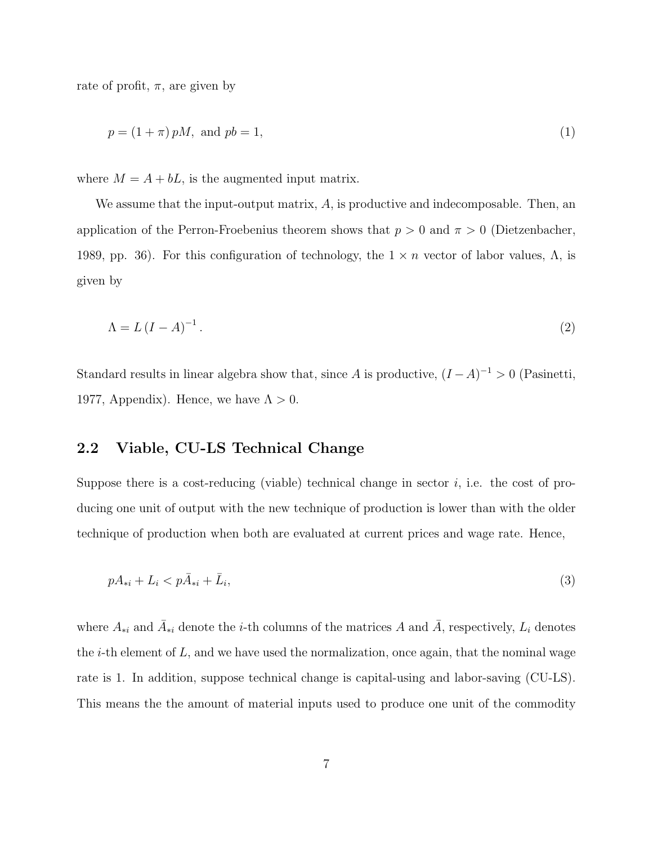rate of profit,  $\pi$ , are given by

$$
p = (1 + \pi) pM, \text{ and } pb = 1,
$$
\n(1)

where  $M = A + bL$ , is the augmented input matrix.

We assume that the input-output matrix,  $A$ , is productive and indecomposable. Then, an application of the Perron-Froebenius theorem shows that  $p > 0$  and  $\pi > 0$  (Dietzenbacher, 1989, pp. 36). For this configuration of technology, the  $1 \times n$  vector of labor values,  $\Lambda$ , is given by

$$
\Lambda = L\left(I - A\right)^{-1}.\tag{2}
$$

Standard results in linear algebra show that, since A is productive,  $(I - A)^{-1} > 0$  (Pasinetti, 1977, Appendix). Hence, we have  $\Lambda > 0$ .

#### 2.2 Viable, CU-LS Technical Change

Suppose there is a cost-reducing (viable) technical change in sector  $i$ , i.e. the cost of producing one unit of output with the new technique of production is lower than with the older technique of production when both are evaluated at current prices and wage rate. Hence,

$$
pA_{*i} + L_i < p\bar{A}_{*i} + \bar{L}_i,\tag{3}
$$

where  $A_{*i}$  and  $\overline{A}_{*i}$  denote the *i*-th columns of the matrices A and  $\overline{A}$ , respectively,  $L_i$  denotes the *i*-th element of  $L$ , and we have used the normalization, once again, that the nominal wage rate is 1. In addition, suppose technical change is capital-using and labor-saving (CU-LS). This means the the amount of material inputs used to produce one unit of the commodity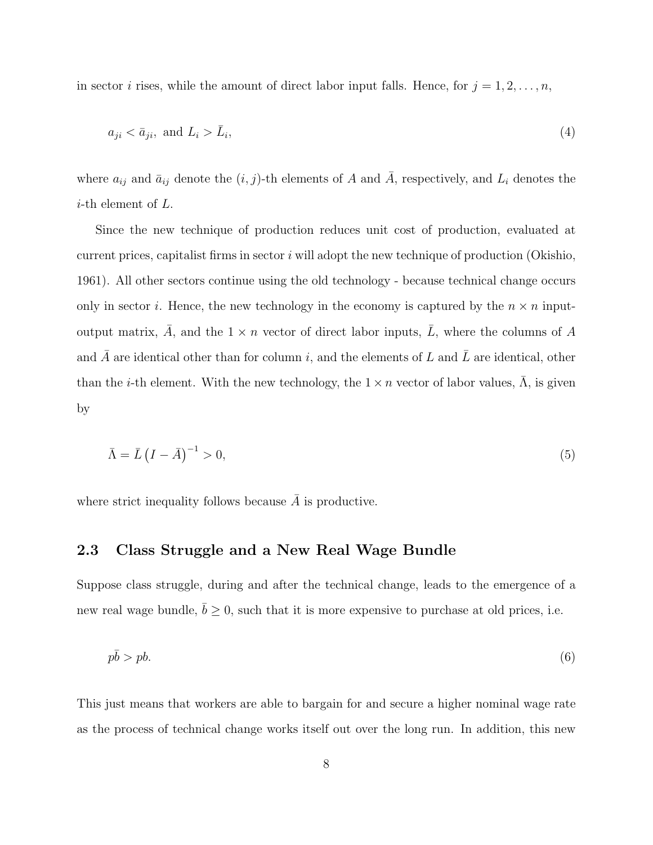in sector *i* rises, while the amount of direct labor input falls. Hence, for  $j = 1, 2, \ldots, n$ ,

$$
a_{ji} < \bar{a}_{ji}, \text{ and } L_i > \bar{L}_i,\tag{4}
$$

where  $a_{ij}$  and  $\bar{a}_{ij}$  denote the  $(i, j)$ -th elements of A and  $\bar{A}$ , respectively, and  $L_i$  denotes the *i*-th element of  $L$ .

Since the new technique of production reduces unit cost of production, evaluated at current prices, capitalist firms in sector  $i$  will adopt the new technique of production (Okishio, 1961). All other sectors continue using the old technology - because technical change occurs only in sector i. Hence, the new technology in the economy is captured by the  $n \times n$  inputoutput matrix, A, and the  $1 \times n$  vector of direct labor inputs, L, where the columns of A and A are identical other than for column i, and the elements of  $L$  and  $L$  are identical, other than the *i*-th element. With the new technology, the  $1 \times n$  vector of labor values,  $\Lambda$ , is given by

$$
\bar{\Lambda} = \bar{L} \left( I - \bar{A} \right)^{-1} > 0,\tag{5}
$$

where strict inequality follows because  $\overline{A}$  is productive.

### 2.3 Class Struggle and a New Real Wage Bundle

Suppose class struggle, during and after the technical change, leads to the emergence of a new real wage bundle,  $\bar{b} \geq 0$ , such that it is more expensive to purchase at old prices, i.e.

$$
p\bar{b} > pb. \tag{6}
$$

This just means that workers are able to bargain for and secure a higher nominal wage rate as the process of technical change works itself out over the long run. In addition, this new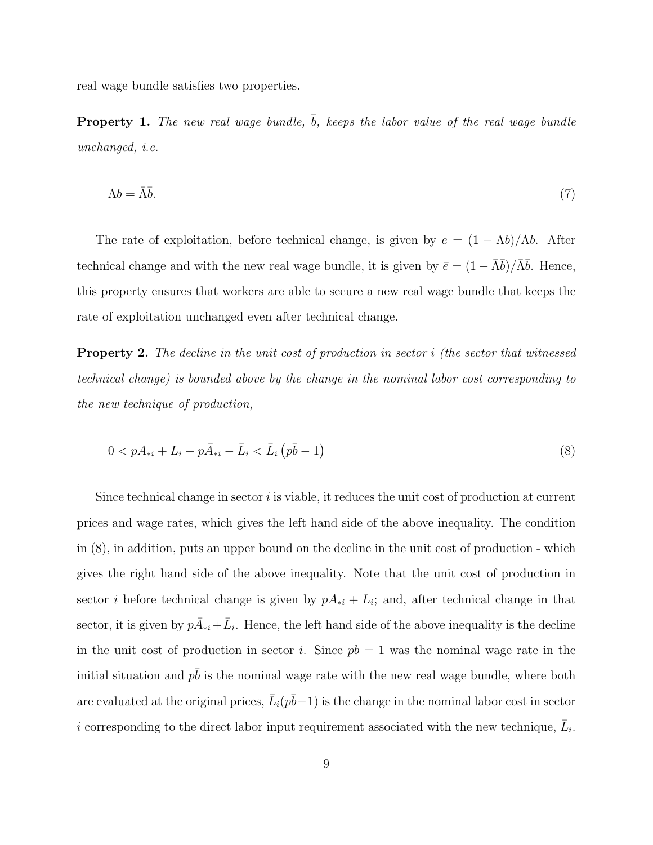real wage bundle satisfies two properties.

**Property 1.** The new real wage bundle,  $\bar{b}$ , keeps the labor value of the real wage bundle unchanged, i.e.

$$
\Lambda b = \bar{\Lambda} \bar{b}.\tag{7}
$$

The rate of exploitation, before technical change, is given by  $e = (1 - \Lambda b)/\Lambda b$ . After technical change and with the new real wage bundle, it is given by  $\bar{e} = (1 - \bar{\Lambda}\bar{b})/\bar{\Lambda}\bar{b}$ . Hence, this property ensures that workers are able to secure a new real wage bundle that keeps the rate of exploitation unchanged even after technical change.

**Property 2.** The decline in the unit cost of production in sector i (the sector that witnessed technical change) is bounded above by the change in the nominal labor cost corresponding to the new technique of production,

$$
0 < pA_{*i} + L_i - p\bar{A}_{*i} - \bar{L}_i < \bar{L}_i \left(p\bar{b} - 1\right) \tag{8}
$$

Since technical change in sector  $i$  is viable, it reduces the unit cost of production at current prices and wage rates, which gives the left hand side of the above inequality. The condition in (8), in addition, puts an upper bound on the decline in the unit cost of production - which gives the right hand side of the above inequality. Note that the unit cost of production in sector *i* before technical change is given by  $pA_{*i} + L_i$ ; and, after technical change in that sector, it is given by  $p\overline{A}_{*i} + \overline{L}_i$ . Hence, the left hand side of the above inequality is the decline in the unit cost of production in sector i. Since  $pb = 1$  was the nominal wage rate in the initial situation and  $p\bar{b}$  is the nominal wage rate with the new real wage bundle, where both are evaluated at the original prices,  $\bar{L}_i(p\bar{b}-1)$  is the change in the nominal labor cost in sector i corresponding to the direct labor input requirement associated with the new technique,  $\bar{L}_i$ .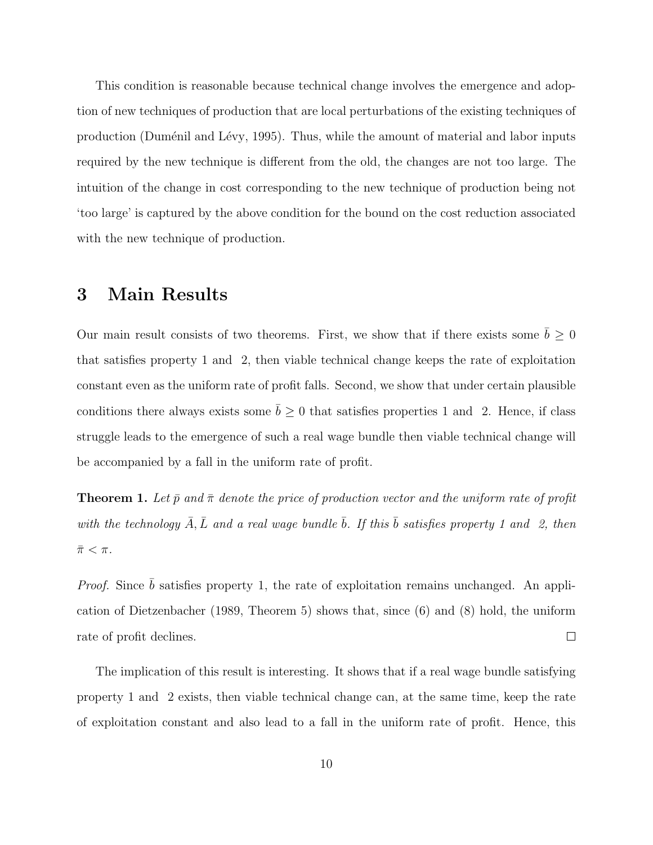This condition is reasonable because technical change involves the emergence and adoption of new techniques of production that are local perturbations of the existing techniques of production (Duménil and Lévy, 1995). Thus, while the amount of material and labor inputs required by the new technique is different from the old, the changes are not too large. The intuition of the change in cost corresponding to the new technique of production being not 'too large' is captured by the above condition for the bound on the cost reduction associated with the new technique of production.

# 3 Main Results

Our main result consists of two theorems. First, we show that if there exists some  $\bar{b} \geq 0$ that satisfies property 1 and 2, then viable technical change keeps the rate of exploitation constant even as the uniform rate of profit falls. Second, we show that under certain plausible conditions there always exists some  $\bar{b} \geq 0$  that satisfies properties 1 and 2. Hence, if class struggle leads to the emergence of such a real wage bundle then viable technical change will be accompanied by a fall in the uniform rate of profit.

**Theorem 1.** Let  $\bar{p}$  and  $\bar{\pi}$  denote the price of production vector and the uniform rate of profit with the technology  $\bar{A}, \bar{L}$  and a real wage bundle  $\bar{b}$ . If this  $\bar{b}$  satisfies property 1 and 2, then  $\bar{\pi} < \pi$ .

*Proof.* Since  $\bar{b}$  satisfies property 1, the rate of exploitation remains unchanged. An application of Dietzenbacher (1989, Theorem 5) shows that, since (6) and (8) hold, the uniform rate of profit declines.  $\Box$ 

The implication of this result is interesting. It shows that if a real wage bundle satisfying property 1 and 2 exists, then viable technical change can, at the same time, keep the rate of exploitation constant and also lead to a fall in the uniform rate of profit. Hence, this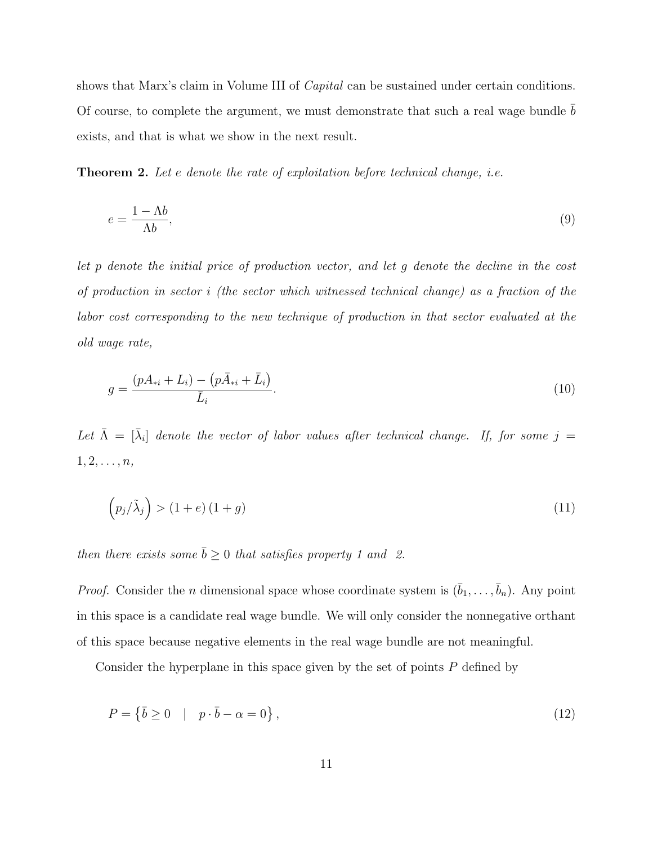shows that Marx's claim in Volume III of *Capital* can be sustained under certain conditions. Of course, to complete the argument, we must demonstrate that such a real wage bundle  $b$ exists, and that is what we show in the next result.

Theorem 2. Let e denote the rate of exploitation before technical change, *i.e.* 

$$
e = \frac{1 - \Lambda b}{\Lambda b},\tag{9}
$$

let p denote the initial price of production vector, and let g denote the decline in the cost of production in sector i (the sector which witnessed technical change) as a fraction of the labor cost corresponding to the new technique of production in that sector evaluated at the old wage rate,

$$
g = \frac{(pA_{*i} + L_i) - (p\bar{A}_{*i} + \bar{L}_i)}{\bar{L}_i}.
$$
\n(10)

Let  $\bar{\Lambda} = [\bar{\lambda}_i]$  denote the vector of labor values after technical change. If, for some  $j =$  $1, 2, \ldots, n,$ 

$$
\left(p_j/\tilde{\lambda}_j\right) > \left(1+e\right)\left(1+g\right) \tag{11}
$$

then there exists some  $\bar{b} \geq 0$  that satisfies property 1 and 2.

*Proof.* Consider the *n* dimensional space whose coordinate system is  $(\bar{b}_1, \ldots, \bar{b}_n)$ . Any point in this space is a candidate real wage bundle. We will only consider the nonnegative orthant of this space because negative elements in the real wage bundle are not meaningful.

Consider the hyperplane in this space given by the set of points P defined by

$$
P = \left\{ \bar{b} \ge 0 \quad | \quad p \cdot \bar{b} - \alpha = 0 \right\},\tag{12}
$$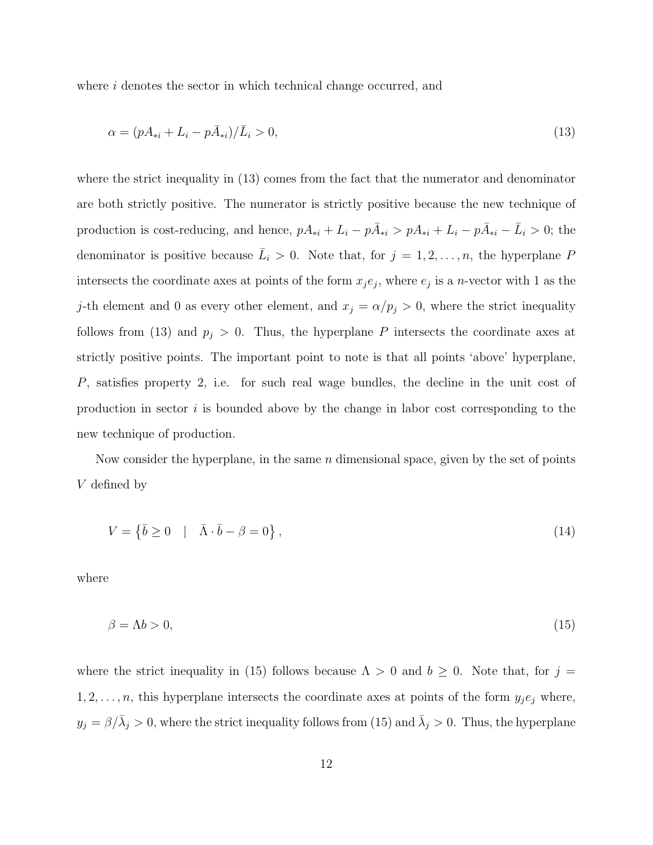where i denotes the sector in which technical change occurred, and

$$
\alpha = (pA_{*i} + L_i - p\bar{A}_{*i})/\bar{L}_i > 0,\tag{13}
$$

where the strict inequality in (13) comes from the fact that the numerator and denominator are both strictly positive. The numerator is strictly positive because the new technique of production is cost-reducing, and hence,  $pA_{*i} + L_i - p\overline{A}_{*i} > pA_{*i} + L_i - p\overline{A}_{*i} - \overline{L}_i > 0$ ; the denominator is positive because  $\bar{L}_i > 0$ . Note that, for  $j = 1, 2, ..., n$ , the hyperplane P intersects the coordinate axes at points of the form  $x_j e_j$ , where  $e_j$  is a *n*-vector with 1 as the j-th element and 0 as every other element, and  $x_j = \alpha/p_j > 0$ , where the strict inequality follows from (13) and  $p_j > 0$ . Thus, the hyperplane P intersects the coordinate axes at strictly positive points. The important point to note is that all points 'above' hyperplane, P, satisfies property 2, i.e. for such real wage bundles, the decline in the unit cost of production in sector  $i$  is bounded above by the change in labor cost corresponding to the new technique of production.

Now consider the hyperplane, in the same  $n$  dimensional space, given by the set of points V defined by

$$
V = \{ \bar{b} \ge 0 \quad | \quad \bar{\Lambda} \cdot \bar{b} - \beta = 0 \}, \tag{14}
$$

where

$$
\beta = \Lambda b > 0,\tag{15}
$$

where the strict inequality in (15) follows because  $\Lambda > 0$  and  $b \geq 0$ . Note that, for  $j =$  $1, 2, \ldots, n$ , this hyperplane intersects the coordinate axes at points of the form  $y_j e_j$  where,  $y_j = \beta/\bar{\lambda}_j > 0$ , where the strict inequality follows from (15) and  $\bar{\lambda}_j > 0$ . Thus, the hyperplane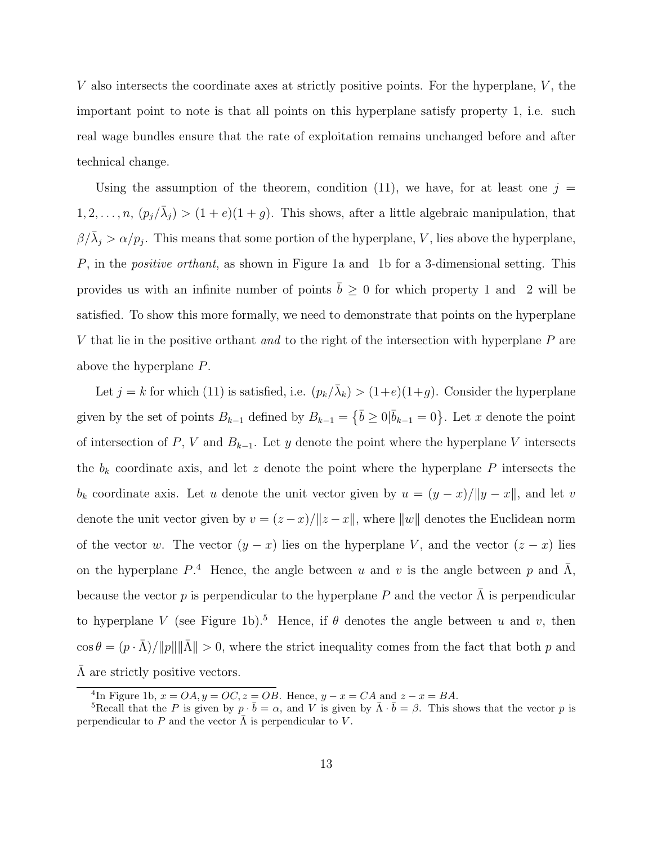V also intersects the coordinate axes at strictly positive points. For the hyperplane,  $V$ , the important point to note is that all points on this hyperplane satisfy property 1, i.e. such real wage bundles ensure that the rate of exploitation remains unchanged before and after technical change.

Using the assumption of the theorem, condition (11), we have, for at least one  $j =$  $1, 2, \ldots, n, (p_j/\bar{\lambda}_j) > (1+e)(1+g)$ . This shows, after a little algebraic manipulation, that  $\beta/\bar{\lambda}_j > \alpha/p_j$ . This means that some portion of the hyperplane, V, lies above the hyperplane, P, in the positive orthant, as shown in Figure 1a and 1b for a 3-dimensional setting. This provides us with an infinite number of points  $\bar{b} \ge 0$  for which property 1 and 2 will be satisfied. To show this more formally, we need to demonstrate that points on the hyperplane V that lie in the positive orthant and to the right of the intersection with hyperplane  $P$  are above the hyperplane P.

Let  $j = k$  for which (11) is satisfied, i.e.  $(p_k/\bar{\lambda}_k) > (1+e)(1+g)$ . Consider the hyperplane given by the set of points  $B_{k-1}$  defined by  $B_{k-1} = \{\bar{b} \ge 0 | \bar{b}_{k-1} = 0\}$ . Let x denote the point of intersection of P, V and  $B_{k-1}$ . Let y denote the point where the hyperplane V intersects the  $b_k$  coordinate axis, and let z denote the point where the hyperplane P intersects the  $b_k$  coordinate axis. Let u denote the unit vector given by  $u = (y - x)/||y - x||$ , and let v denote the unit vector given by  $v = (z - x)/\|z - x\|$ , where  $\|w\|$  denotes the Euclidean norm of the vector w. The vector  $(y - x)$  lies on the hyperplane V, and the vector  $(z - x)$  lies on the hyperplane  $P^4$ . Hence, the angle between u and v is the angle between p and  $\bar{\Lambda}$ , because the vector p is perpendicular to the hyperplane P and the vector  $\Lambda$  is perpendicular to hyperplane V (see Figure 1b).<sup>5</sup> Hence, if  $\theta$  denotes the angle between u and v, then  $\cos \theta = (p \cdot \bar{\Lambda}) / ||p|| ||\bar{\Lambda}|| > 0$ , where the strict inequality comes from the fact that both p and  $\overline{\Lambda}$  are strictly positive vectors.

<sup>&</sup>lt;sup>4</sup>In Figure 1b,  $x = OA, y = OC, z = OB$ . Hence,  $y - x = CA$  and  $z - x = BA$ .

<sup>&</sup>lt;sup>5</sup>Recall that the P is given by  $p \cdot \bar{b} = \alpha$ , and V is given by  $\bar{\Lambda} \cdot \bar{b} = \beta$ . This shows that the vector p is perpendicular to P and the vector  $\bar{\Lambda}$  is perpendicular to V.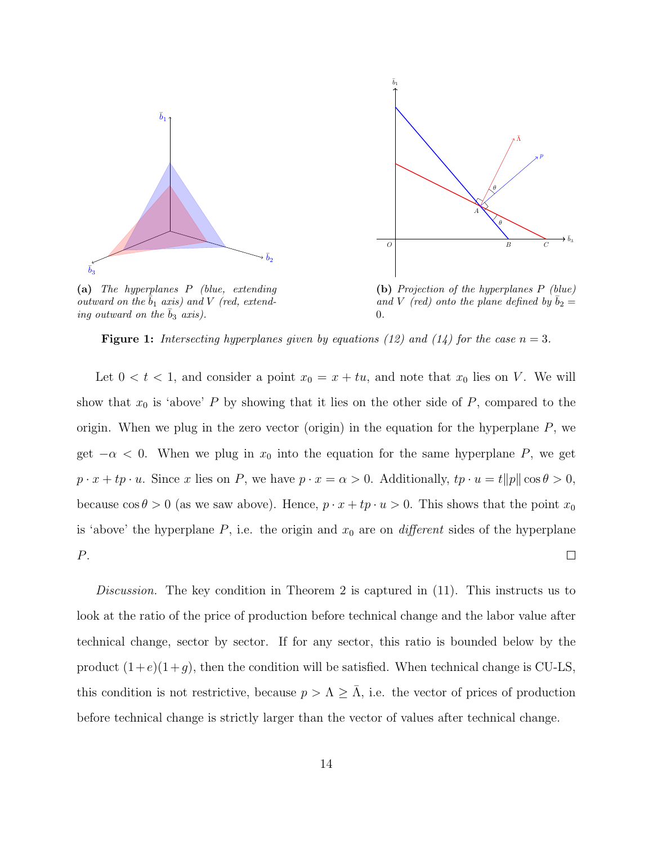



(a) The hyperplanes P (blue, extending outward on the  $b_1$  axis) and V (red, extending outward on the  $b_3$  axis).

(b) Projection of the hyperplanes P (blue) and V (red) onto the plane defined by  $b_2 =$ 0.

**Figure 1:** Intersecting hyperplanes given by equations (12) and (14) for the case  $n = 3$ .

Let  $0 < t < 1$ , and consider a point  $x_0 = x + tu$ , and note that  $x_0$  lies on V. We will show that  $x_0$  is 'above' P by showing that it lies on the other side of P, compared to the origin. When we plug in the zero vector (origin) in the equation for the hyperplane  $P$ , we get  $-\alpha < 0$ . When we plug in  $x_0$  into the equation for the same hyperplane P, we get  $p \cdot x + tp \cdot u$ . Since x lies on P, we have  $p \cdot x = \alpha > 0$ . Additionally,  $tp \cdot u = t||p|| \cos \theta > 0$ , because  $\cos \theta > 0$  (as we saw above). Hence,  $p \cdot x + tp \cdot u > 0$ . This shows that the point  $x_0$ is 'above' the hyperplane  $P$ , i.e. the origin and  $x_0$  are on *different* sides of the hyperplane P.  $\Box$ 

Discussion. The key condition in Theorem 2 is captured in (11). This instructs us to look at the ratio of the price of production before technical change and the labor value after technical change, sector by sector. If for any sector, this ratio is bounded below by the product  $(1+e)(1+g)$ , then the condition will be satisfied. When technical change is CU-LS, this condition is not restrictive, because  $p > \Lambda \geq \Lambda$ , i.e. the vector of prices of production before technical change is strictly larger than the vector of values after technical change.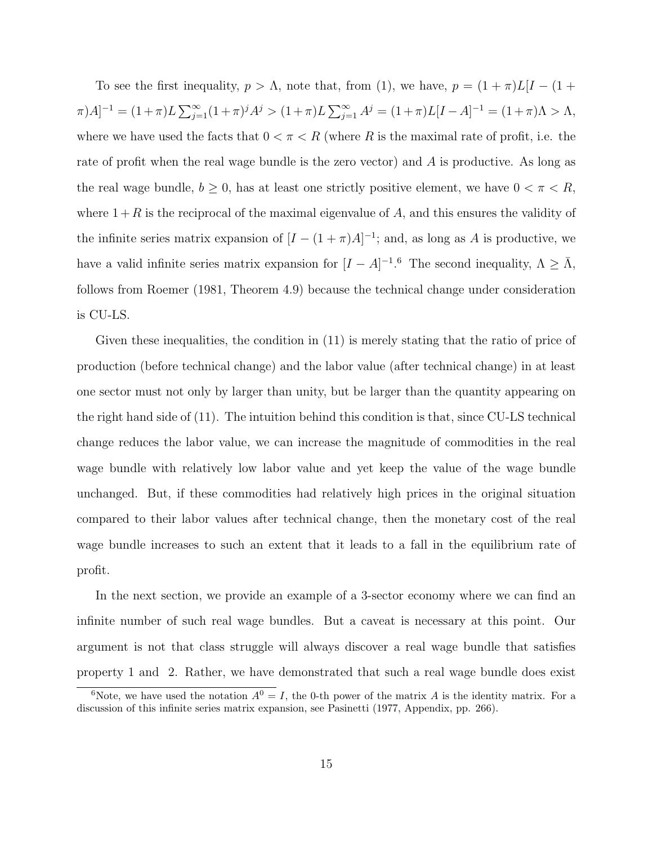To see the first inequality,  $p > \Lambda$ , note that, from (1), we have,  $p = (1 + \pi)L[I - (1 +$  $[\pi]A]^{-1} = (1+\pi)L \sum_{j=1}^{\infty} (1+\pi)^j A^j > (1+\pi)L \sum_{j=1}^{\infty} A^j = (1+\pi)L[I-A]^{-1} = (1+\pi)\Lambda > \Lambda,$ where we have used the facts that  $0 < \pi < R$  (where R is the maximal rate of profit, i.e. the rate of profit when the real wage bundle is the zero vector) and A is productive. As long as the real wage bundle,  $b \geq 0$ , has at least one strictly positive element, we have  $0 < \pi < R$ , where  $1 + R$  is the reciprocal of the maximal eigenvalue of A, and this ensures the validity of the infinite series matrix expansion of  $[I - (1 + \pi)A]^{-1}$ ; and, as long as A is productive, we have a valid infinite series matrix expansion for  $[I - A]^{-1}$ .<sup>6</sup> The second inequality,  $\Lambda \geq \overline{\Lambda}$ , follows from Roemer (1981, Theorem 4.9) because the technical change under consideration is CU-LS.

Given these inequalities, the condition in (11) is merely stating that the ratio of price of production (before technical change) and the labor value (after technical change) in at least one sector must not only by larger than unity, but be larger than the quantity appearing on the right hand side of (11). The intuition behind this condition is that, since CU-LS technical change reduces the labor value, we can increase the magnitude of commodities in the real wage bundle with relatively low labor value and yet keep the value of the wage bundle unchanged. But, if these commodities had relatively high prices in the original situation compared to their labor values after technical change, then the monetary cost of the real wage bundle increases to such an extent that it leads to a fall in the equilibrium rate of profit.

In the next section, we provide an example of a 3-sector economy where we can find an infinite number of such real wage bundles. But a caveat is necessary at this point. Our argument is not that class struggle will always discover a real wage bundle that satisfies property 1 and 2. Rather, we have demonstrated that such a real wage bundle does exist

<sup>&</sup>lt;sup>6</sup>Note, we have used the notation  $A^0 = I$ , the 0-th power of the matrix A is the identity matrix. For a discussion of this infinite series matrix expansion, see Pasinetti (1977, Appendix, pp. 266).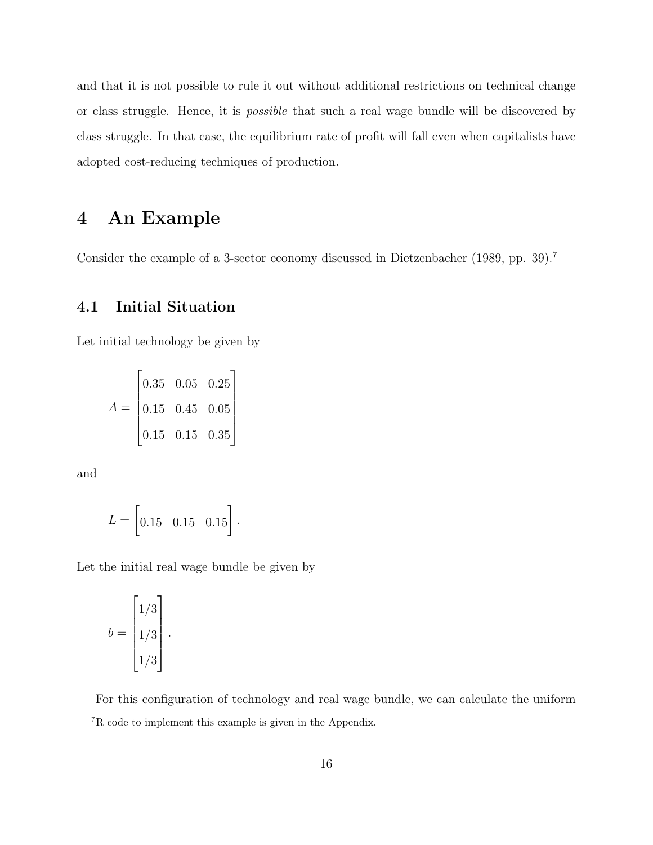and that it is not possible to rule it out without additional restrictions on technical change or class struggle. Hence, it is possible that such a real wage bundle will be discovered by class struggle. In that case, the equilibrium rate of profit will fall even when capitalists have adopted cost-reducing techniques of production.

# 4 An Example

Consider the example of a 3-sector economy discussed in Dietzenbacher (1989, pp. 39).<sup>7</sup>

### 4.1 Initial Situation

Let initial technology be given by

$$
A = \begin{bmatrix} 0.35 & 0.05 & 0.25 \\ 0.15 & 0.45 & 0.05 \\ 0.15 & 0.15 & 0.35 \end{bmatrix}
$$

and

$$
L = \begin{bmatrix} 0.15 & 0.15 & 0.15 \end{bmatrix}.
$$

Let the initial real wage bundle be given by

$$
b = \begin{bmatrix} 1/3 \\ 1/3 \\ 1/3 \end{bmatrix}.
$$

For this configuration of technology and real wage bundle, we can calculate the uniform

<sup>7</sup>R code to implement this example is given in the Appendix.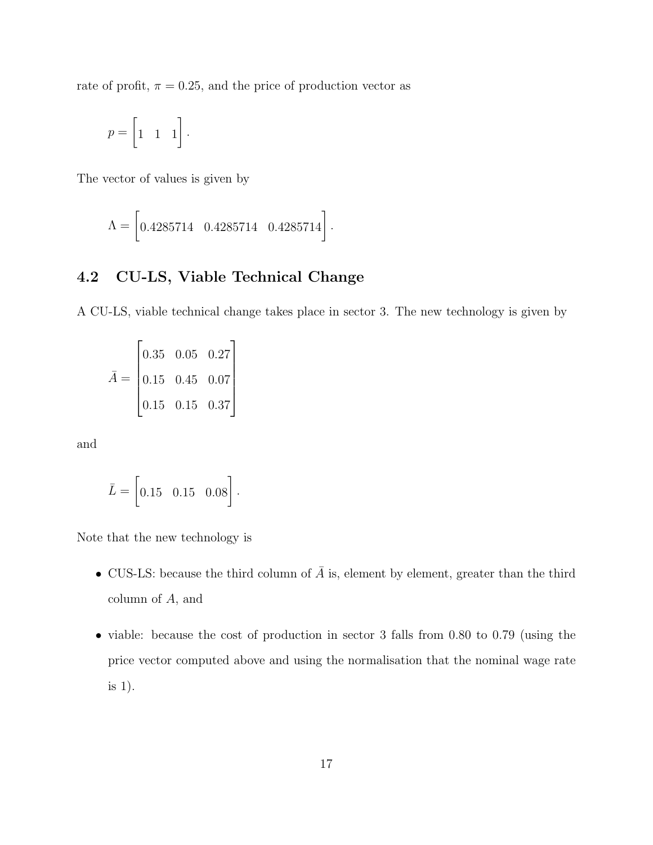rate of profit,  $\pi = 0.25$ , and the price of production vector as

$$
p = \begin{bmatrix} 1 & 1 & 1 \end{bmatrix}.
$$

The vector of values is given by

$$
\Lambda = \begin{bmatrix} 0.4285714 & 0.4285714 & 0.4285714 \end{bmatrix}.
$$

### 4.2 CU-LS, Viable Technical Change

A CU-LS, viable technical change takes place in sector 3. The new technology is given by

$$
\bar{A} = \begin{bmatrix} 0.35 & 0.05 & 0.27 \\ 0.15 & 0.45 & 0.07 \\ 0.15 & 0.15 & 0.37 \end{bmatrix}
$$

and

$$
\bar{L} = \left[0.15 \quad 0.15 \quad 0.08\right].
$$

Note that the new technology is

- CUS-LS: because the third column of  $\overline{A}$  is, element by element, greater than the third column of A, and
- viable: because the cost of production in sector 3 falls from 0.80 to 0.79 (using the price vector computed above and using the normalisation that the nominal wage rate is 1).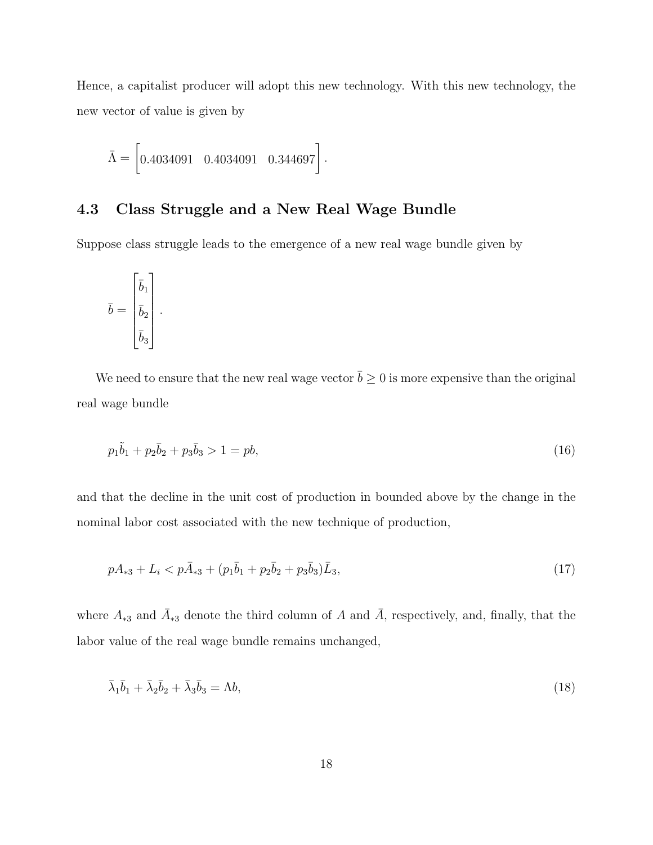Hence, a capitalist producer will adopt this new technology. With this new technology, the new vector of value is given by

$$
\bar{\Lambda} = \begin{bmatrix} 0.4034091 & 0.4034091 & 0.344697 \end{bmatrix}.
$$

#### 4.3 Class Struggle and a New Real Wage Bundle

Suppose class struggle leads to the emergence of a new real wage bundle given by

$$
\bar{b} = \begin{bmatrix} \bar{b}_1 \\ \bar{b}_2 \\ \bar{b}_3 \end{bmatrix}.
$$

We need to ensure that the new real wage vector  $\bar{b} \geq 0$  is more expensive than the original real wage bundle

$$
p_1\tilde{b}_1 + p_2\bar{b}_2 + p_3\bar{b}_3 > 1 = pb,\tag{16}
$$

and that the decline in the unit cost of production in bounded above by the change in the nominal labor cost associated with the new technique of production,

$$
pA_{*3} + L_i < p\bar{A}_{*3} + (p_1\bar{b}_1 + p_2\bar{b}_2 + p_3\bar{b}_3)\bar{L}_3,\tag{17}
$$

where  $A_{*3}$  and  $\overline{A}_{*3}$  denote the third column of A and  $\overline{A}$ , respectively, and, finally, that the labor value of the real wage bundle remains unchanged,

$$
\bar{\lambda}_1 \bar{b}_1 + \bar{\lambda}_2 \bar{b}_2 + \bar{\lambda}_3 \bar{b}_3 = \Lambda b,\tag{18}
$$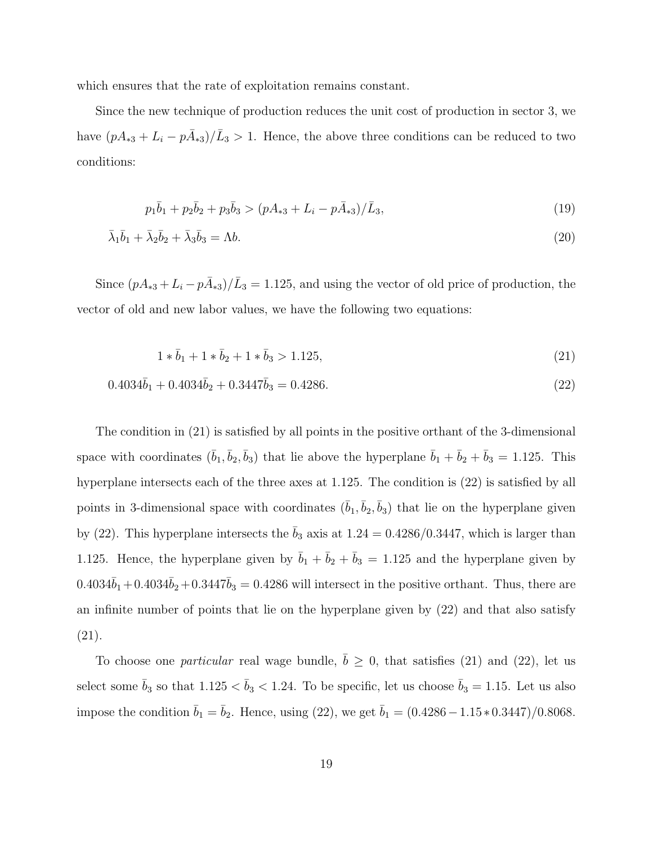which ensures that the rate of exploitation remains constant.

Since the new technique of production reduces the unit cost of production in sector 3, we have  $(pA_{*3} + L_i - p\overline{A}_{*3})/\overline{L}_3 > 1$ . Hence, the above three conditions can be reduced to two conditions:

$$
p_1\bar{b}_1 + p_2\bar{b}_2 + p_3\bar{b}_3 > (pA_{*3} + L_i - p\bar{A}_{*3})/\bar{L}_3,
$$
\n
$$
(19)
$$

$$
\bar{\lambda}_1 \bar{b}_1 + \bar{\lambda}_2 \bar{b}_2 + \bar{\lambda}_3 \bar{b}_3 = \Lambda b. \tag{20}
$$

Since  $(pA_{*3} + L_i - p\overline{A}_{*3})/\overline{L}_3 = 1.125$ , and using the vector of old price of production, the vector of old and new labor values, we have the following two equations:

$$
1 * \bar{b}_1 + 1 * \bar{b}_2 + 1 * \bar{b}_3 > 1.125,\tag{21}
$$

$$
0.4034\bar{b}_1 + 0.4034\bar{b}_2 + 0.3447\bar{b}_3 = 0.4286. \tag{22}
$$

The condition in (21) is satisfied by all points in the positive orthant of the 3-dimensional space with coordinates  $(\bar{b}_1, \bar{b}_2, \bar{b}_3)$  that lie above the hyperplane  $\bar{b}_1 + \bar{b}_2 + \bar{b}_3 = 1.125$ . This hyperplane intersects each of the three axes at 1.125. The condition is (22) is satisfied by all points in 3-dimensional space with coordinates  $(\bar{b}_1, \bar{b}_2, \bar{b}_3)$  that lie on the hyperplane given by (22). This hyperplane intersects the  $b_3$  axis at  $1.24 = 0.4286/0.3447$ , which is larger than 1.125. Hence, the hyperplane given by  $\bar{b}_1 + \bar{b}_2 + \bar{b}_3 = 1.125$  and the hyperplane given by  $0.4034\bar{b}_1+0.4034\bar{b}_2+0.3447\bar{b}_3 = 0.4286$  will intersect in the positive orthant. Thus, there are an infinite number of points that lie on the hyperplane given by (22) and that also satisfy (21).

To choose one *particular* real wage bundle,  $\bar{b} \geq 0$ , that satisfies (21) and (22), let us select some  $\bar{b}_3$  so that  $1.125 < \bar{b}_3 < 1.24$ . To be specific, let us choose  $\bar{b}_3 = 1.15$ . Let us also impose the condition  $\bar{b}_1 = \bar{b}_2$ . Hence, using (22), we get  $\bar{b}_1 = (0.4286 - 1.15 * 0.3447)/0.8068$ .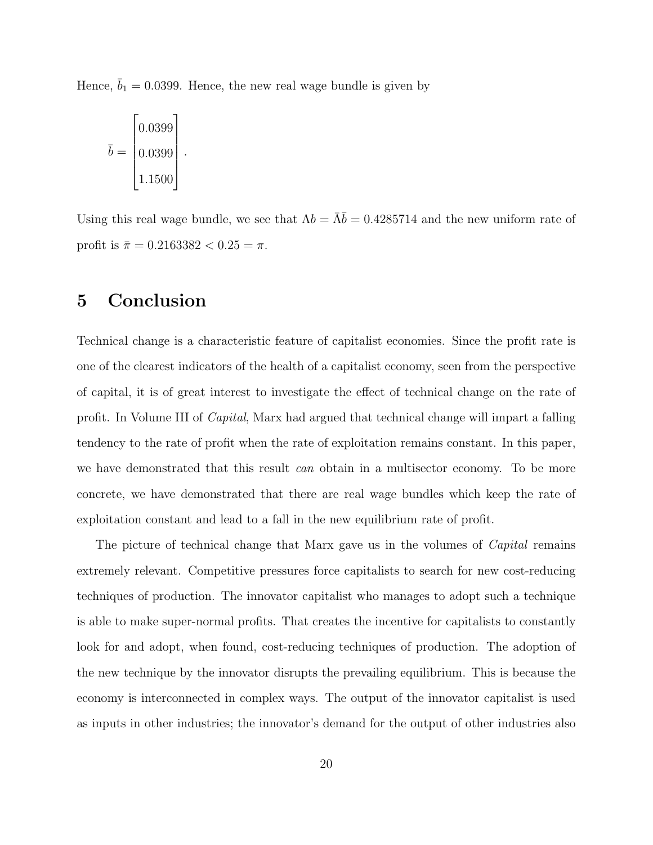Hence,  $\bar{b}_1 = 0.0399$ . Hence, the new real wage bundle is given by

$$
\bar{b} = \begin{bmatrix} 0.0399 \\ 0.0399 \\ 1.1500 \end{bmatrix}.
$$

Using this real wage bundle, we see that  $\Lambda b = \overline{\Lambda} \overline{b} = 0.4285714$  and the new uniform rate of profit is  $\bar{\pi} = 0.2163382 < 0.25 = \pi$ .

# 5 Conclusion

Technical change is a characteristic feature of capitalist economies. Since the profit rate is one of the clearest indicators of the health of a capitalist economy, seen from the perspective of capital, it is of great interest to investigate the effect of technical change on the rate of profit. In Volume III of Capital, Marx had argued that technical change will impart a falling tendency to the rate of profit when the rate of exploitation remains constant. In this paper, we have demonstrated that this result *can* obtain in a multisector economy. To be more concrete, we have demonstrated that there are real wage bundles which keep the rate of exploitation constant and lead to a fall in the new equilibrium rate of profit.

The picture of technical change that Marx gave us in the volumes of *Capital* remains extremely relevant. Competitive pressures force capitalists to search for new cost-reducing techniques of production. The innovator capitalist who manages to adopt such a technique is able to make super-normal profits. That creates the incentive for capitalists to constantly look for and adopt, when found, cost-reducing techniques of production. The adoption of the new technique by the innovator disrupts the prevailing equilibrium. This is because the economy is interconnected in complex ways. The output of the innovator capitalist is used as inputs in other industries; the innovator's demand for the output of other industries also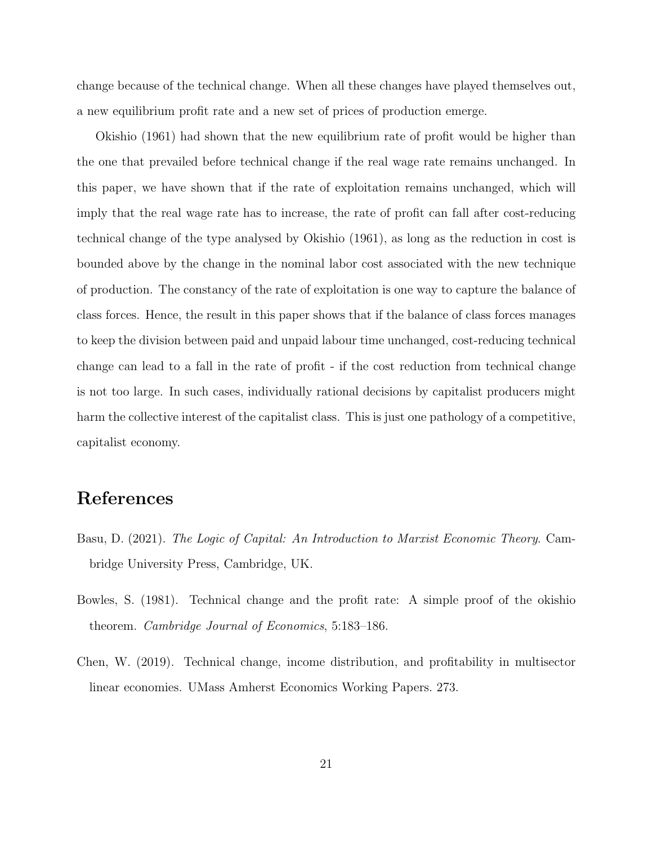change because of the technical change. When all these changes have played themselves out, a new equilibrium profit rate and a new set of prices of production emerge.

Okishio (1961) had shown that the new equilibrium rate of profit would be higher than the one that prevailed before technical change if the real wage rate remains unchanged. In this paper, we have shown that if the rate of exploitation remains unchanged, which will imply that the real wage rate has to increase, the rate of profit can fall after cost-reducing technical change of the type analysed by Okishio (1961), as long as the reduction in cost is bounded above by the change in the nominal labor cost associated with the new technique of production. The constancy of the rate of exploitation is one way to capture the balance of class forces. Hence, the result in this paper shows that if the balance of class forces manages to keep the division between paid and unpaid labour time unchanged, cost-reducing technical change can lead to a fall in the rate of profit - if the cost reduction from technical change is not too large. In such cases, individually rational decisions by capitalist producers might harm the collective interest of the capitalist class. This is just one pathology of a competitive, capitalist economy.

## References

- Basu, D. (2021). The Logic of Capital: An Introduction to Marxist Economic Theory. Cambridge University Press, Cambridge, UK.
- Bowles, S. (1981). Technical change and the profit rate: A simple proof of the okishio theorem. Cambridge Journal of Economics, 5:183–186.
- Chen, W. (2019). Technical change, income distribution, and profitability in multisector linear economies. UMass Amherst Economics Working Papers. 273.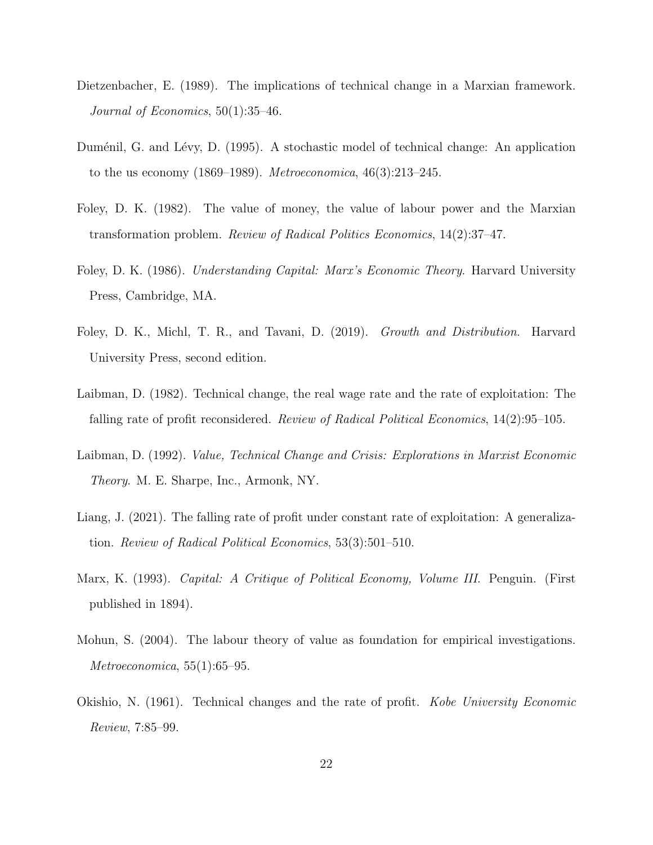- Dietzenbacher, E. (1989). The implications of technical change in a Marxian framework. Journal of Economics, 50(1):35–46.
- Duménil, G. and Lévy, D. (1995). A stochastic model of technical change: An application to the us economy  $(1869-1989)$ . *Metroeconomica*,  $46(3):213-245$ .
- Foley, D. K. (1982). The value of money, the value of labour power and the Marxian transformation problem. Review of Radical Politics Economics, 14(2):37–47.
- Foley, D. K. (1986). Understanding Capital: Marx's Economic Theory. Harvard University Press, Cambridge, MA.
- Foley, D. K., Michl, T. R., and Tavani, D. (2019). Growth and Distribution. Harvard University Press, second edition.
- Laibman, D. (1982). Technical change, the real wage rate and the rate of exploitation: The falling rate of profit reconsidered. Review of Radical Political Economics, 14(2):95–105.
- Laibman, D. (1992). *Value, Technical Change and Crisis: Explorations in Marxist Economic* Theory. M. E. Sharpe, Inc., Armonk, NY.
- Liang, J. (2021). The falling rate of profit under constant rate of exploitation: A generalization. Review of Radical Political Economics, 53(3):501–510.
- Marx, K. (1993). Capital: A Critique of Political Economy, Volume III. Penguin. (First published in 1894).
- Mohun, S. (2004). The labour theory of value as foundation for empirical investigations. Metroeconomica, 55(1):65–95.
- Okishio, N. (1961). Technical changes and the rate of profit. Kobe University Economic Review, 7:85–99.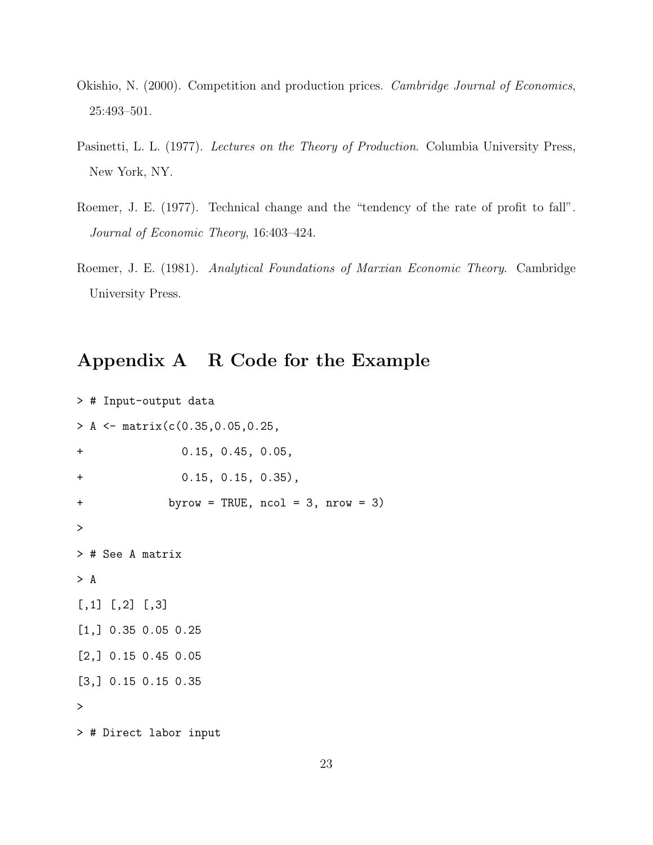- Okishio, N. (2000). Competition and production prices. Cambridge Journal of Economics, 25:493–501.
- Pasinetti, L. L. (1977). Lectures on the Theory of Production. Columbia University Press, New York, NY.
- Roemer, J. E. (1977). Technical change and the "tendency of the rate of profit to fall". Journal of Economic Theory, 16:403–424.
- Roemer, J. E. (1981). Analytical Foundations of Marxian Economic Theory. Cambridge University Press.

# Appendix A R Code for the Example

```
> # Input-output data
> A <- matrix(c(0.35,0.05,0.25,
+ 0.15, 0.45, 0.05,
+ 0.15, 0.15, 0.35),
+ byrow = TRUE, ncol = 3, nrow = 3)
>
> # See A matrix
> A
[,1] [,2] [,3][1,] 0.35 0.05 0.25
[2,] 0.15 0.45 0.05
[3,] 0.15 0.15 0.35
>
> # Direct labor input
```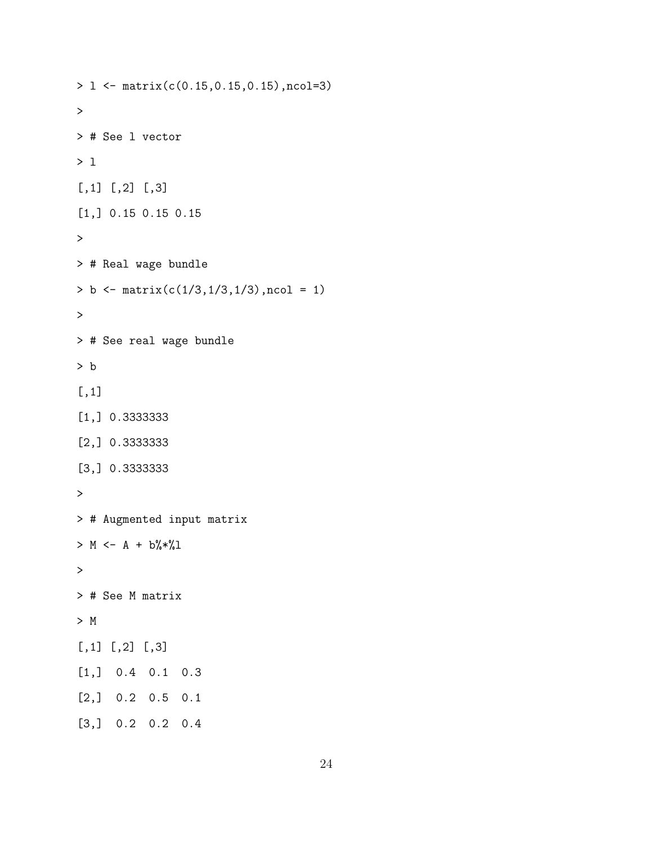```
> l <- matrix(c(0.15,0.15,0.15),ncol=3)
\geq> # See l vector
> l
[,1] [,2] [,3][1,] 0.15 0.15 0.15
\geq> # Real wage bundle
> b <- matrix(c(1/3,1/3,1/3),ncol = 1)\geq> # See real wage bundle
> b
[,1]
[1,] 0.3333333
[2,] 0.3333333
[3,] 0.3333333
\geq> # Augmented input matrix
> M \leftarrow A + b \% * \% 1>
> # See M matrix
> M
[,1] [,2] [,3]
[1,] 0.4 0.1 0.3
[2,] 0.2 0.5 0.1
[3,] 0.2 0.2 0.4
```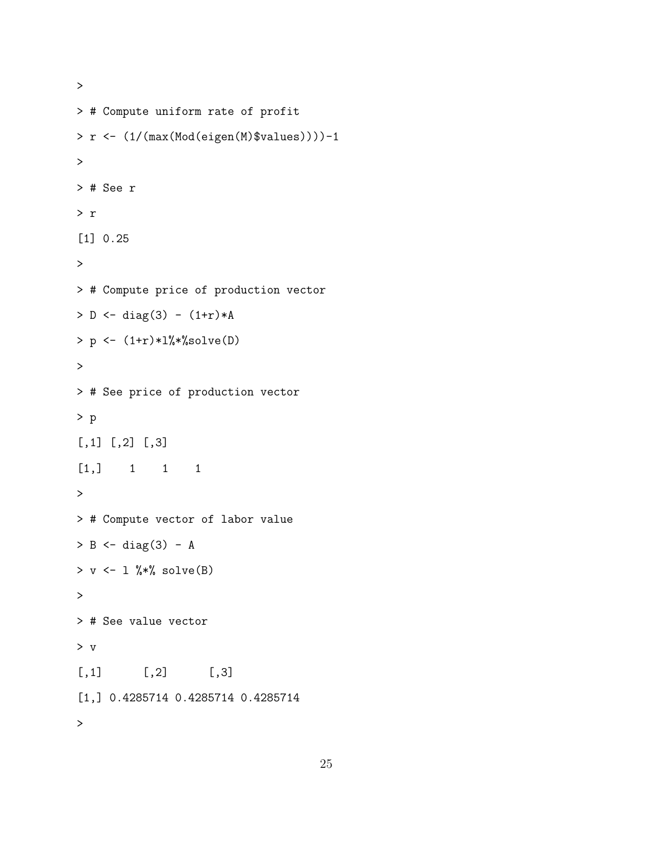```
> # Compute uniform rate of profit
> r <- (1/(max(Mod(eigen(M)$values))))-1
>
> # See r
> r
[1] 0.25
\geq> # Compute price of production vector
> D \le - \text{diag}(3) - (1+r)*A> p <- (1+r)*1%solve(D)\geq> # See price of production vector
> p
[,1] [,2] [,3][1,] 1 1 1
\geq> # Compute vector of labor value
> B \leftarrow diag(3) - A> v \leftarrow 1 %*% solve(B)
\geq> # See value vector
> v
[,1] [,2] [,3]
[1,] 0.4285714 0.4285714 0.4285714
>
```
>

```
25
```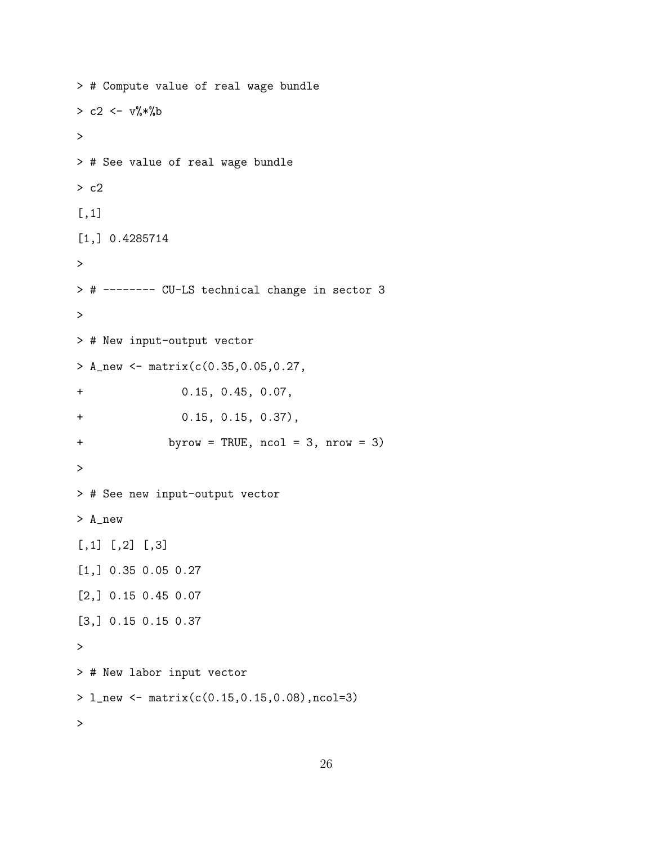```
> # Compute value of real wage bundle
> c2 < -v\%*\%b>
> # See value of real wage bundle
> c2
[,1]
[1,] 0.4285714
\geq> # -------- CU-LS technical change in sector 3
>
> # New input-output vector
> A_new <- matrix(c(0.35,0.05,0.27,
+ 0.15, 0.45, 0.07,
+ 0.15, 0.15, 0.37),
+ byrow = TRUE, ncol = 3, nrow = 3)
>
> # See new input-output vector
> A_new
[,1] [,2] [,3][1,] 0.35 0.05 0.27
[2,] 0.15 0.45 0.07
[3,] 0.15 0.15 0.37
>
> # New labor input vector
> l_new <- matrix(c(0.15,0.15,0.08),ncol=3)
>
```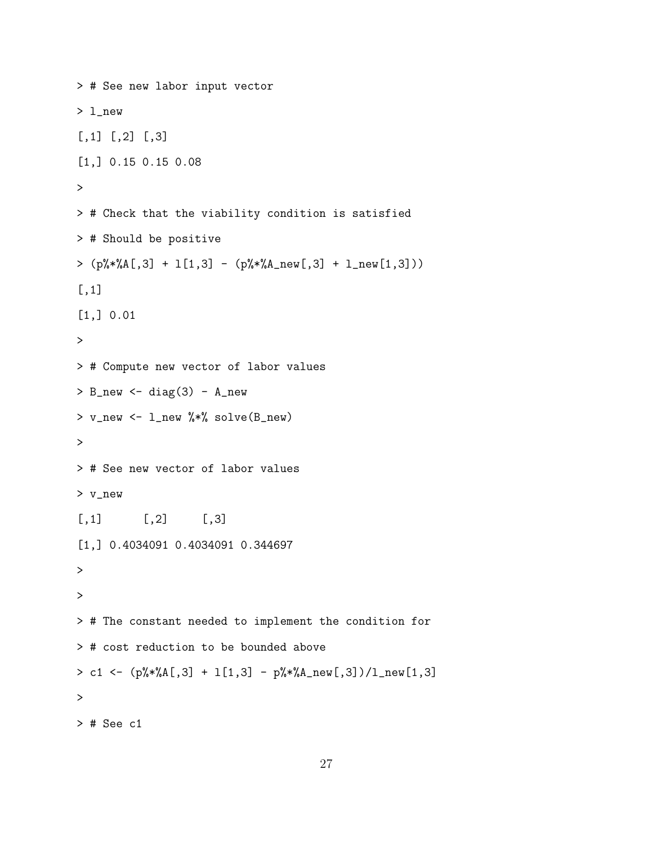```
> # See new labor input vector
> l_new
[,1] [,2] [,3][1,] 0.15 0.15 0.08
\geq> # Check that the viability condition is satisfied
> # Should be positive
> (p\% * \& A[, 3] + 1[1,3] - (p\% * \& A_new[, 3] + 1_new[1,3]))[,1]
[1,] 0.01
>
> # Compute new vector of labor values
> B_new \leq diag(3) - A_new
> v_new <- l_new %*% solve(B_new)
>
> # See new vector of labor values
> v_new
[,1] [,2] [,3][1,] 0.4034091 0.4034091 0.344697
\geq>
> # The constant needed to implement the condition for
> # cost reduction to be bounded above
> c1 <- (p\frac{9}{8}*\frac{9}{1}, 3] + 1[1, 3] - p\frac{9}{8}*\frac{9}{1}, 2] - p\frac{9}{8}*\frac{9}{1}, 3] /1_new[1,3]
>
> # See c1
```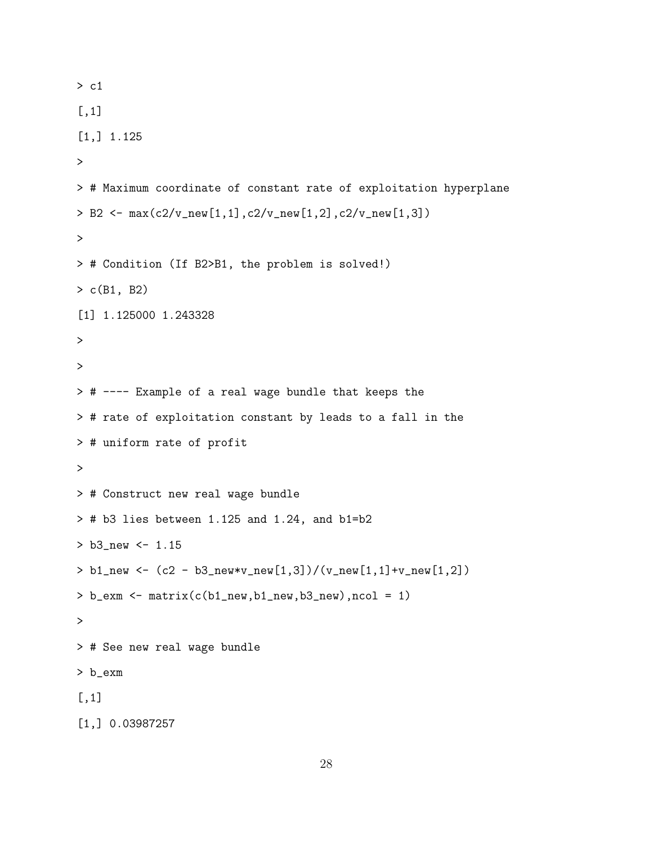```
> c1
[,1]
[1,] 1.125
>
> # Maximum coordinate of constant rate of exploitation hyperplane
> B2 <- max(c2/v_new[1,1], c2/v_new[1,2], c2/v_new[1,3])>
> # Condition (If B2>B1, the problem is solved!)
> c(B1, B2)
[1] 1.125000 1.243328
>
>
> # ---- Example of a real wage bundle that keeps the
> # rate of exploitation constant by leads to a fall in the
> # uniform rate of profit
>
> # Construct new real wage bundle
> # b3 lies between 1.125 and 1.24, and b1=b2
> b3_new <- 1.15
> b1_new <- (c2 - b3_new*v_new[1,3])/(v_new[1,1]+v_new[1,2])
> b_exm \leq matrix(c(b1_new,b1_new,b3_new),ncol = 1)
>
> # See new real wage bundle
> b_exm
[,1]
[1,] 0.03987257
```